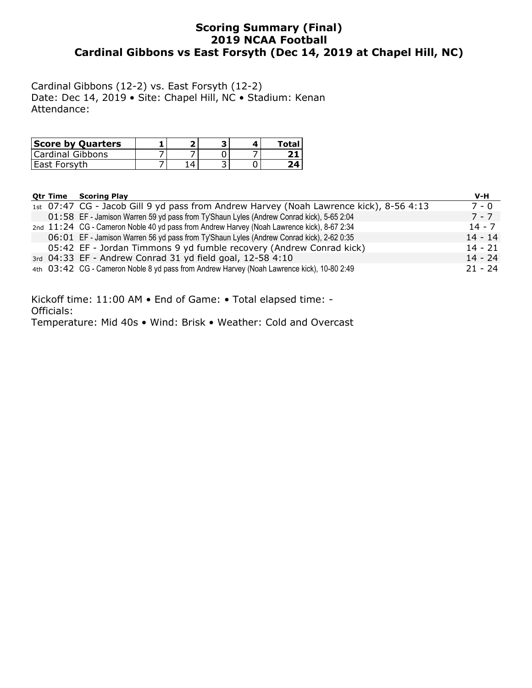### **Scoring Summary (Final) 2019 NCAA Football Cardinal Gibbons vs East Forsyth (Dec 14, 2019 at Chapel Hill, NC)**

Cardinal Gibbons (12-2) vs. East Forsyth (12-2) Date: Dec 14, 2019 • Site: Chapel Hill, NC • Stadium: Kenan Attendance:

| <b>Score by Quarters</b> |  |  |  |
|--------------------------|--|--|--|
| Cardinal Gibbons         |  |  |  |
| l East Forsvth           |  |  |  |

|  | <b>Otr Time Scoring Play</b>                                                               | V-H       |
|--|--------------------------------------------------------------------------------------------|-----------|
|  | 1st 07:47 CG - Jacob Gill 9 yd pass from Andrew Harvey (Noah Lawrence kick), 8-56 4:13     | $7 - 0$   |
|  | 01:58 EF - Jamison Warren 59 yd pass from Ty'Shaun Lyles (Andrew Conrad kick), 5-65 2:04   | $7 - 7$   |
|  | 2nd 11:24 CG - Cameron Noble 40 yd pass from Andrew Harvey (Noah Lawrence kick), 8-67 2:34 | $14 - 7$  |
|  | 06:01 EF - Jamison Warren 56 yd pass from Ty'Shaun Lyles (Andrew Conrad kick), 2-62 0:35   | $14 - 14$ |
|  | 05:42 EF - Jordan Timmons 9 yd fumble recovery (Andrew Conrad kick)                        | $14 - 21$ |
|  | 3rd 04:33 EF - Andrew Conrad 31 yd field goal, 12-58 4:10                                  | $14 - 24$ |
|  | 4th 03:42 CG - Cameron Noble 8 yd pass from Andrew Harvey (Noah Lawrence kick), 10-80 2:49 | $21 - 24$ |

Kickoff time: 11:00 AM • End of Game: • Total elapsed time: - Officials: Temperature: Mid 40s • Wind: Brisk • Weather: Cold and Overcast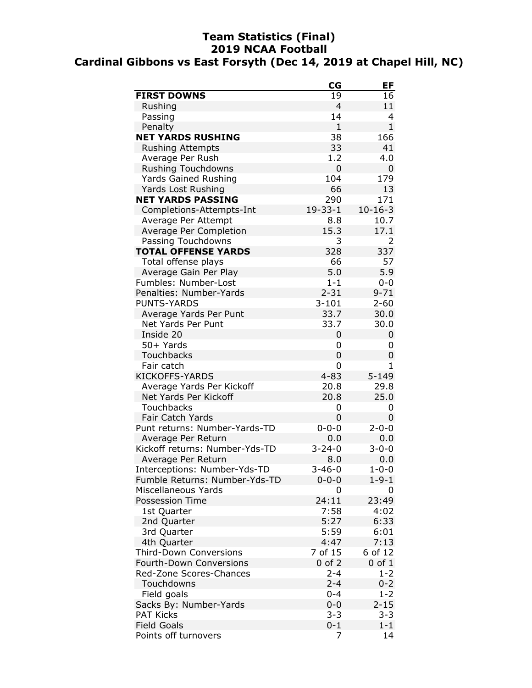## **Team Statistics (Final) 2019 NCAA Football Cardinal Gibbons vs East Forsyth (Dec 14, 2019 at Chapel Hill, NC)**

|                                | $_{\rm CG}$    | EF             |
|--------------------------------|----------------|----------------|
| <b>FIRST DOWNS</b>             | 19             | 16             |
| Rushing                        | $\overline{4}$ | 11             |
| Passing                        | 14             | 4              |
| Penalty                        | 1              | $\mathbf{1}$   |
| <b>NET YARDS RUSHING</b>       | 38             | 166            |
| <b>Rushing Attempts</b>        | 33             | 41             |
| Average Per Rush               | 1.2            | 4.0            |
| <b>Rushing Touchdowns</b>      | 0              | 0              |
| <b>Yards Gained Rushing</b>    | 104            | 179            |
| <b>Yards Lost Rushing</b>      | 66             | 13             |
| <b>NET YARDS PASSING</b>       | 290            | 171            |
| Completions-Attempts-Int       | $19 - 33 - 1$  | $10 - 16 - 3$  |
| Average Per Attempt            | 8.8            | 10.7           |
| Average Per Completion         | 15.3           | 17.1           |
| Passing Touchdowns             | 3              | $\overline{2}$ |
| <b>TOTAL OFFENSE YARDS</b>     | 328            | 337            |
| Total offense plays            | 66             | 57             |
| Average Gain Per Play          | 5.0            | 5.9            |
| Fumbles: Number-Lost           | $1 - 1$        | $0 - 0$        |
| Penalties: Number-Yards        | $2 - 31$       | $9 - 71$       |
| <b>PUNTS-YARDS</b>             | $3 - 101$      | $2 - 60$       |
| Average Yards Per Punt         | 33.7           | 30.0           |
| Net Yards Per Punt             | 33.7           | 30.0           |
| Inside 20                      | 0              | 0              |
| 50+ Yards                      | 0              | 0              |
| Touchbacks                     | 0              | 0              |
| Fair catch                     | 0              | 1              |
| <b>KICKOFFS-YARDS</b>          | $4 - 83$       | $5 - 149$      |
| Average Yards Per Kickoff      | 20.8           | 29.8           |
| Net Yards Per Kickoff          | 20.8           | 25.0           |
| Touchbacks                     | 0              | 0              |
| Fair Catch Yards               | 0              | 0              |
| Punt returns: Number-Yards-TD  | $0 - 0 - 0$    | $2 - 0 - 0$    |
| Average Per Return             | 0.0            | 0.0            |
| Kickoff returns: Number-Yds-TD | $3 - 24 - 0$   | $3 - 0 - 0$    |
| Average Per Return             | 8.0            | 0.0            |
| Interceptions: Number-Yds-TD   | $3 - 46 - 0$   | $1 - 0 - 0$    |
| Fumble Returns: Number-Yds-TD  | $0 - 0 - 0$    | $1 - 9 - 1$    |
| Miscellaneous Yards            | 0              | 0              |
| <b>Possession Time</b>         | 24:11          | 23:49          |
| 1st Quarter                    | 7:58           | 4:02           |
| 2nd Quarter                    | 5:27           | 6:33           |
| 3rd Quarter                    | 5:59           | 6:01           |
| 4th Quarter                    | 4:47           | 7:13           |
| <b>Third-Down Conversions</b>  | 7 of 15        | 6 of 12        |
| Fourth-Down Conversions        | $0$ of $2$     | $0$ of $1$     |
| Red-Zone Scores-Chances        | $2 - 4$        | $1 - 2$        |
| Touchdowns                     | $2 - 4$        | $0 - 2$        |
| Field goals                    | $0 - 4$        | $1 - 2$        |
| Sacks By: Number-Yards         | $0 - 0$        | $2 - 15$       |
| <b>PAT Kicks</b>               | $3 - 3$        | $3 - 3$        |
| <b>Field Goals</b>             | $0 - 1$        | $1 - 1$        |
| Points off turnovers           | 7              | 14             |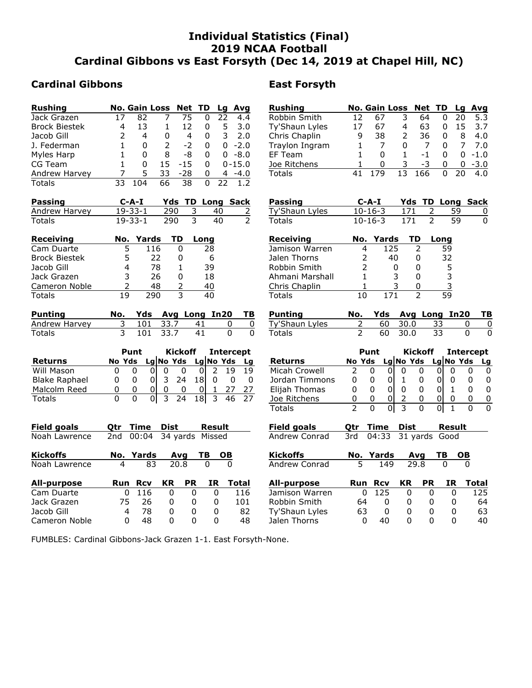### **Individual Statistics (Final) 2019 NCAA Football Cardinal Gibbons vs East Forsyth (Dec 14, 2019 at Chapel Hill, NC)**

### **Cardinal Gibbons East Forsyth**

| <b>Rushing</b>                      |                         | <b>No. Gain Loss</b> |     |                | Net                     | TD              |           | Lq           | Avg                 |
|-------------------------------------|-------------------------|----------------------|-----|----------------|-------------------------|-----------------|-----------|--------------|---------------------|
| Jack Grazen                         | 17                      | 82                   |     | 7              | 75                      |                 | 0         | 22           | 4.4                 |
| <b>Brock Biestek</b>                | 4                       | 13                   |     | 1              | 12                      |                 | 0         | 5            | 3.0                 |
| Jacob Gill                          | 2                       | 4                    |     | 0              |                         | $\overline{4}$  | 0         | 3            | 2.0                 |
| J. Federman                         | 1                       | 0                    |     | $\overline{2}$ |                         | -2              | 0         | 0            | $-2.0$              |
| Myles Harp                          | $\mathbf{1}$            | 0                    |     | 8              | -8                      |                 | 0         |              | $0 - 8.0$           |
| CG Team                             | $\overline{1}$          | 0                    |     | 15             | $-15$                   |                 | 0         |              | $0 - 15.0$          |
| Andrew Harvey                       | 7                       | 5                    |     | 33             | $-28$                   |                 | 0         |              | $4 - 4.0$           |
| Totals                              | 33                      | 104                  |     | 66             | 38                      |                 | 0         | 22           | 1                   |
| <b>Passing</b>                      |                         | $C-A-I$              |     | Yds            |                         |                 |           |              | TD Long Sack        |
| Andrew Harvey                       |                         | $19 - 33 - 1$        |     | 290            |                         | 3               |           | 40           |                     |
| <b>Totals</b>                       |                         | $19 - 33 - 1$        |     | 290            |                         | 3               |           | 40           | $\frac{2}{2}$       |
| Receiving                           | No.                     | Yards                |     |                | <b>TD</b>               | Long            |           |              |                     |
| Cam Duarte                          |                         | 5                    | 116 |                | 0                       |                 | 28        |              |                     |
| <b>Brock Biestek</b>                |                         | 5                    | 22  |                | 0                       |                 | 6         |              |                     |
| Jacob Gill                          |                         | 4                    | 78  |                | 1                       |                 | 39        |              |                     |
| Jack Grazen                         |                         | 3                    | 26  |                | 0                       |                 | 18        |              |                     |
| Cameron Noble                       |                         | $\overline{2}$       | 48  |                | $\overline{c}$          |                 | 40        |              |                     |
| <b>Totals</b>                       | $\overline{19}$         |                      | 290 |                | $\overline{\mathsf{3}}$ |                 | 40        |              |                     |
| <b>Punting</b>                      | No.                     | Yds                  |     |                |                         | Avg Long        |           | In20         | ΤB                  |
| Andrew Harvey                       | 3                       | 101                  |     | 33.7           |                         | 41              |           | 0            | $\overline{0}$      |
| <b>Totals</b>                       | $\overline{\mathbf{3}}$ | 101                  |     | 33.7           |                         | 41              |           | 0            | 0                   |
|                                     |                         |                      |     |                |                         |                 |           |              |                     |
|                                     |                         | Punt                 |     |                | <b>Kickoff</b>          |                 |           |              | <b>Intercept</b>    |
| <b>Returns</b>                      | No Yds                  |                      |     |                | Lg No Yds               |                 |           | $Lg $ No Yds | Lg                  |
| Will Mason                          | 0                       | 0                    | 01  | 0              | 0                       | 0               | 2         | 19           | 19                  |
| <b>Blake Raphael</b>                | 0                       | 0                    | 0   | 3              | 24                      | 18              | 0         |              | 0<br>0              |
| Malcolm Reed                        | 0                       | 0                    | 0   | 0              | 0                       | 0               | 1         | 27           | 27                  |
| <b>Totals</b>                       | 0                       | 0                    | 0   | 3              | 24                      | 18I             | 3         | 46           |                     |
|                                     |                         | <b>Time</b>          |     | <b>Dist</b>    |                         |                 |           |              |                     |
| <b>Field goals</b><br>Noah Lawrence | Qtr<br>2nd              | 00:04                |     |                |                         | 34 yards Missed |           | Result       |                     |
|                                     |                         |                      |     |                |                         |                 |           |              |                     |
| <b>Kickoffs</b>                     |                         | No. Yards            |     |                | Avg                     | ΤB              |           | OΒ           |                     |
|                                     |                         |                      |     |                |                         |                 |           |              |                     |
| Noah Lawrence                       | 4                       |                      | 83  |                | 20.8                    |                 | 0         | ŋ            |                     |
|                                     | Run                     | <b>Rcv</b>           |     | <b>KR</b>      |                         | <b>PR</b>       | <b>IR</b> |              |                     |
| All-purpose<br>Cam Duarte           |                         | 116<br>0             |     | 0              |                         | 0               |           | 0            | <b>Total</b><br>116 |

| <b>Rushing</b>                             |                          |                   | <b>No. Gain Loss</b>          | <b>Net</b>               | TD              | Lg                                                 |         | Avg              |
|--------------------------------------------|--------------------------|-------------------|-------------------------------|--------------------------|-----------------|----------------------------------------------------|---------|------------------|
| Robbin Smith                               | 12                       | 67                | 3                             | 64                       |                 | 20<br>0                                            |         | 5.3              |
| Ty'Shaun Lyles                             | 17                       | 67                | 4                             | 63                       |                 | 0                                                  | 15      | 3.7              |
| Chris Chaplin                              | 9                        | 38                | 2                             | 36                       |                 | 0                                                  | 8       | 4.0              |
| Traylon Ingram                             | 1                        | 7                 | 0                             | 7                        |                 | 0                                                  | 7       | 7.0              |
| EF Team                                    | 1                        | 0                 | 1                             | -1                       |                 | 0                                                  | 0       | $-1.0$           |
| Joe Ritchens                               | $\mathbf{1}$             | 0                 | 3                             | -3                       |                 | 0                                                  | 0       | $-3.0$           |
| <b>Totals</b>                              | 41                       | 179               | 13                            | 166                      |                 | 20<br>0                                            |         | 4.0              |
| <b>Passing</b>                             |                          | $C - A - I$       |                               | Yds TD Long Sack         |                 |                                                    |         |                  |
| Ty'Shaun Lyles                             |                          | $10 - 16 - 3$     |                               | 171                      | 2               | 59                                                 |         | 0                |
| Totals                                     |                          | $10 - 16 - 3$     |                               | 171                      | $\overline{2}$  | 59                                                 |         | 0                |
| <b>Receiving</b>                           | No.                      |                   | Yards                         | TD                       | Long            |                                                    |         |                  |
| Jamison Warren                             | 4                        |                   | 125                           | $\overline{2}$           |                 | 59                                                 |         |                  |
| Jalen Thorns                               | 2                        |                   | 40                            | 0                        |                 | 32                                                 |         |                  |
| Robbin Smith                               | $\overline{2}$           |                   | 0                             | 0                        |                 | 5                                                  |         |                  |
| Ahmani Marshall                            | $\mathbf{1}$             |                   | 3                             | 0                        |                 |                                                    |         |                  |
| Chris Chaplin                              | 1                        |                   | 3                             | 0                        |                 | $\begin{array}{r} 3 \\ 3 \\ \hline 59 \end{array}$ |         |                  |
| Totals                                     | 10                       |                   | $\overline{171}$              | $\overline{\phantom{a}}$ |                 |                                                    |         |                  |
|                                            |                          |                   |                               |                          |                 |                                                    |         |                  |
| <b>Punting</b>                             | No.                      | Yds               |                               | Avg Long                 |                 | <b>In20</b>                                        |         | TВ               |
| <b>Ty'Shaun Lyles</b>                      | <u>2</u>                 | 60                |                               | 30.0                     |                 |                                                    | 0       | 0                |
| <b>Totals</b>                              | $\overline{2}$           | 60                | 30.0                          |                          | <u>33</u><br>33 |                                                    | 0       | 0                |
|                                            |                          | Punt              |                               |                          |                 |                                                    |         |                  |
| Returns                                    | No Yds                   |                   |                               | Kickoff                  |                 |                                                    |         | <b>Intercept</b> |
| Micah Crowell                              | 2                        | 0                 | 0<br>01                       | Lg No Yds Lg No Yds<br>0 | 01              | 0                                                  | 0       | <b>Lg</b><br>0   |
| Jordan Timmons                             | 0                        | 0                 | 1<br>01                       | 0                        | 01              | 0                                                  | 0       | 0                |
| Elijah Thomas                              | 0                        | 0                 | 0<br>0                        | 0                        | 0               | 1                                                  | 0       | 0                |
| Joe Ritchens                               | 0                        | 0                 | 2<br>0                        | 0                        | 0               | 0                                                  | 0       | 0                |
| <b>Totals</b>                              | $\overline{\phantom{a}}$ | 0                 | $\overline{\mathsf{3}}$<br>01 | 0                        | 0               | 1                                                  | O       | O                |
|                                            | Qtr                      | Time              | <b>Dist</b>                   |                          |                 | Result                                             |         |                  |
| <b>Field goals</b><br><b>Andrew Conrad</b> | 3rd                      | 04:33             |                               | 31 yards                 |                 | Good                                               |         |                  |
|                                            | No.                      |                   |                               |                          | ΤВ              |                                                    |         |                  |
| <b>Kickoffs</b><br>Andrew Conrad           | 5                        | Yards             | 149                           | Avg<br>29.8              |                 | $\Omega$                                           | OΒ<br>0 |                  |
|                                            | Run                      |                   |                               |                          |                 |                                                    |         |                  |
| <b>All-purpose</b>                         | 0                        | <b>Rcv</b><br>125 | KR                            | <b>PR</b><br>0           | 0               | IR<br>0                                            |         | Total<br>125     |
| Jamison Warren<br>Robbin Smith             | 64                       |                   | 0                             | 0                        | 0               | 0                                                  |         | 64               |

Jalen Thorns 0 40 0 0 0 40

FUMBLES: Cardinal Gibbons-Jack Grazen 1-1. East Forsyth-None.

Jacob Gill 4 78 0 0 0 82 Cameron Noble 0 48 0 0 0 48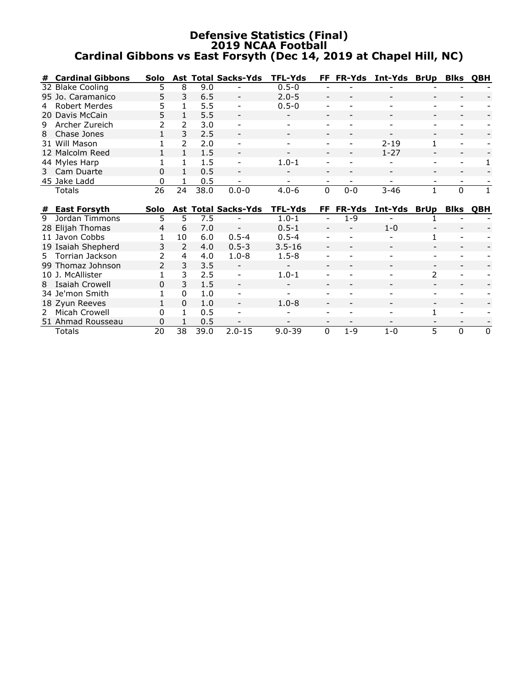### **Defensive Statistics (Final) 2019 NCAA Football Cardinal Gibbons vs East Forsyth (Dec 14, 2019 at Chapel Hill, NC)**

| #  | <b>Cardinal Gibbons</b> | Solo          |               |      | <b>Ast Total Sacks-Yds</b> | <b>TFL-Yds</b> | FF.                      | <b>FR-Yds</b> | Int-Yds  | <b>BrUp</b>   | <b>Blks</b>              | <b>OBH</b> |
|----|-------------------------|---------------|---------------|------|----------------------------|----------------|--------------------------|---------------|----------|---------------|--------------------------|------------|
|    | 32 Blake Cooling        | 5.            | 8             | 9.0  |                            | $0.5 - 0$      |                          |               |          |               |                          |            |
|    | 95 Jo. Caramanico       | 5             | 3             | 6.5  |                            | $2.0 - 5$      |                          |               |          |               |                          |            |
|    | Robert Merdes           | 5             |               | 5.5  |                            | $0.5 - 0$      |                          |               |          |               |                          |            |
|    | 20 Davis McCain         | 5             |               | 5.5  |                            |                |                          |               |          |               | $\overline{\phantom{a}}$ |            |
| 9  | Archer Zureich          | 2             | $\mathcal{P}$ | 3.0  | $\overline{\phantom{a}}$   |                |                          |               |          |               | ۰                        |            |
| 8  | Chase Jones             |               | 3             | 2.5  |                            |                |                          |               |          |               |                          |            |
|    | 31 Will Mason           |               | $\mathcal{P}$ | 2.0  |                            |                |                          |               | $2 - 19$ | $\mathbf{1}$  | $\overline{\phantom{a}}$ |            |
|    | 12 Malcolm Reed         |               |               | 1.5  | $\overline{\phantom{a}}$   |                |                          |               | $1 - 27$ |               |                          |            |
|    | 44 Myles Harp           |               |               | 1.5  |                            | $1.0 - 1$      |                          |               |          |               | $\overline{\phantom{a}}$ |            |
|    | 3 Cam Duarte            | 0             |               | 0.5  | $\overline{\phantom{a}}$   |                |                          |               |          |               |                          |            |
|    | 45 Jake Ladd            | 0             |               | 0.5  |                            |                |                          |               |          |               |                          |            |
|    | <b>Totals</b>           | 26            | 24            | 38.0 | $0.0 - 0$                  | $4.0 - 6$      | $\Omega$                 | $0 - 0$       | $3 - 46$ |               | $\Omega$                 |            |
|    |                         |               |               |      |                            |                |                          |               |          |               |                          |            |
| #  | <b>East Forsyth</b>     | Solo          |               |      | <b>Ast Total Sacks-Yds</b> | TFL-Yds        | FF                       | <b>FR-Yds</b> | Int-Yds  | <b>BrUp</b>   | <b>Blks</b>              | <b>OBH</b> |
| 9  | Jordan Timmons          | 5             | 5             | 7.5  |                            | $1.0 - 1$      |                          | $1 - 9$       |          |               |                          |            |
|    | 28 Elijah Thomas        | 4             | 6             | 7.0  |                            | $0.5 - 1$      |                          |               | $1 - 0$  |               |                          |            |
|    | 11 Javon Cobbs          |               | 10            | 6.0  | $0.5 - 4$                  | $0.5 - 4$      |                          |               |          |               | $\overline{\phantom{a}}$ |            |
|    | 19 Isaiah Shepherd      | 3             | $\mathcal{P}$ | 4.0  | $0.5 - 3$                  | $3.5 - 16$     | $\overline{\phantom{a}}$ |               |          |               |                          |            |
| 5. | Torrian Jackson         |               | 4             | 4.0  | $1.0 - 8$                  | $1.5 - 8$      |                          |               |          |               |                          |            |
|    | 99 Thomaz Johnson       | $\mathcal{P}$ | 3             | 3.5  |                            |                |                          |               |          |               |                          |            |
|    | 10 J. McAllister        |               | 3             | 2.5  |                            | $1.0 - 1$      |                          |               |          | $\mathcal{P}$ |                          |            |
|    | 8 Isaiah Crowell        | 0             | 3             | 1.5  |                            |                |                          |               |          |               |                          |            |

18 Zyun Reeves 1 0 1.0 - 1.0-8 - - - - - - - -<br>
2 Micah Crowell 0 1 0.5 - - - - - - 1 - -<br>
51 Ahmad Rousseau 0 1 0.5 - - - - - - - - - - -2 Micah Crowell 0 1 0.5 - - - - - - - 1 - -<br>51 Ahmad Rousseau 0 1 0.5 - - - - - - - - - - - -51 Ahmad Rousseau 0 1 0.5 - - - - - - - - Totals 20 38 39.0 2.0-15 9.0-39 0 1-9 1-0 5 0 0

34 Je'mon Smith 1 0 1.0 - - - - - - - -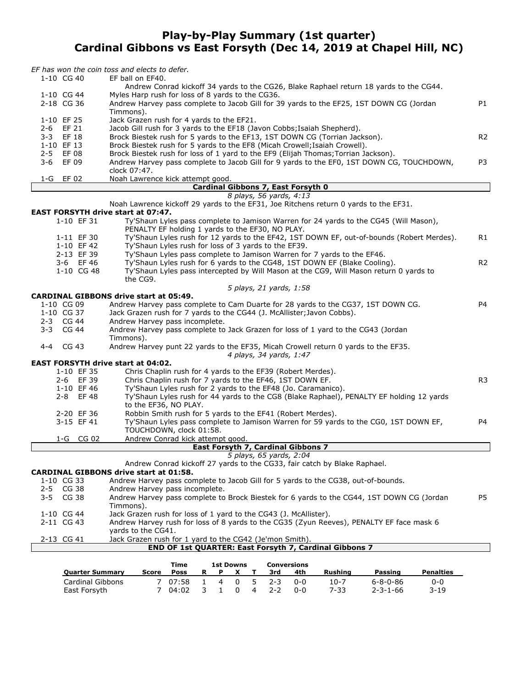### **Play-by-Play Summary (1st quarter) Cardinal Gibbons vs East Forsyth (Dec 14, 2019 at Chapel Hill, NC)**

| <b>Quarter Summary</b>                    | <b>1st Downs</b><br><b>Conversions</b><br>Time<br>R<br><b>Rushing</b><br><b>Passing</b><br><b>Penalties</b><br>Score<br>Poss<br>P<br>X<br>3rd<br>4th<br>Т |                |
|-------------------------------------------|-----------------------------------------------------------------------------------------------------------------------------------------------------------|----------------|
|                                           |                                                                                                                                                           |                |
|                                           | END OF 1st QUARTER: East Forsyth 7, Cardinal Gibbons 7                                                                                                    |                |
| 2-13 CG 41                                | yards to the CG41.<br>Jack Grazen rush for 1 yard to the CG42 (Je'mon Smith).                                                                             |                |
| 2-11 CG 43                                | Andrew Harvey rush for loss of 8 yards to the CG35 (Zyun Reeves), PENALTY EF face mask 6                                                                  |                |
| 1-10 CG 44                                | Jack Grazen rush for loss of 1 yard to the CG43 (J. McAllister).                                                                                          |                |
|                                           | Timmons).                                                                                                                                                 |                |
| $2 - 5$<br>CG 38<br>$3 - 5$<br>CG 38      | Andrew Harvey pass incomplete.<br>Andrew Harvey pass complete to Brock Biestek for 6 yards to the CG44, 1ST DOWN CG (Jordan                               | P <sub>5</sub> |
| 1-10 CG 33                                | Andrew Harvey pass complete to Jacob Gill for 5 yards to the CG38, out-of-bounds.                                                                         |                |
|                                           | <b>CARDINAL GIBBONS drive start at 01:58.</b>                                                                                                             |                |
|                                           | Andrew Conrad kickoff 27 yards to the CG33, fair catch by Blake Raphael.                                                                                  |                |
|                                           | 5 plays, 65 yards, 2:04                                                                                                                                   |                |
|                                           | East Forsyth 7, Cardinal Gibbons 7                                                                                                                        |                |
| 1-G CG 02                                 | Andrew Conrad kick attempt good.                                                                                                                          |                |
|                                           | TOUCHDOWN, clock 01:58.                                                                                                                                   |                |
| 3-15 EF 41                                | Ty'Shaun Lyles pass complete to Jamison Warren for 59 yards to the CG0, 1ST DOWN EF,                                                                      | P4             |
| 2-20 EF 36                                | Robbin Smith rush for 5 yards to the EF41 (Robert Merdes).                                                                                                |                |
|                                           | to the EF36, NO PLAY.                                                                                                                                     |                |
| 2-8 EF48                                  | Ty'Shaun Lyles rush for 44 yards to the CG8 (Blake Raphael), PENALTY EF holding 12 yards                                                                  |                |
| 1-10 EF 46                                | Chris Chaplin rush for 7 yards to the EF46, 1ST DOWN EF.<br>Ty'Shaun Lyles rush for 2 yards to the EF48 (Jo. Caramanico).                                 |                |
| 1-10 EF 35<br>2-6 EF 39                   | Chris Chaplin rush for 4 yards to the EF39 (Robert Merdes).                                                                                               | R <sub>3</sub> |
| <b>EAST FORSYTH drive start at 04:02.</b> |                                                                                                                                                           |                |
|                                           | 4 plays, 34 yards, 1:47                                                                                                                                   |                |
| 4-4 CG 43                                 | Andrew Harvey punt 22 yards to the EF35, Micah Crowell return 0 yards to the EF35.                                                                        |                |
|                                           | Timmons).                                                                                                                                                 |                |
| 3-3 CG 44                                 | Andrew Harvey pass complete to Jack Grazen for loss of 1 yard to the CG43 (Jordan                                                                         |                |
| 2-3 CG 44                                 | Andrew Harvey pass incomplete.                                                                                                                            |                |
| 1-10 CG 37                                | Jack Grazen rush for 7 yards to the CG44 (J. McAllister; Javon Cobbs).                                                                                    |                |
| 1-10 CG 09                                | Andrew Harvey pass complete to Cam Duarte for 28 yards to the CG37, 1ST DOWN CG.                                                                          | P4             |
|                                           | <b>CARDINAL GIBBONS drive start at 05:49.</b>                                                                                                             |                |
|                                           | 5 plays, 21 yards, 1:58                                                                                                                                   |                |
|                                           | the CG9.                                                                                                                                                  |                |
| 1-10 CG 48                                | Ty'Shaun Lyles pass intercepted by Will Mason at the CG9, Will Mason return 0 yards to                                                                    |                |
| 3-6 EF46                                  | Ty'Shaun Lyles rush for 6 yards to the CG48, 1ST DOWN EF (Blake Cooling).                                                                                 | R <sub>2</sub> |
| 2-13 EF 39                                | Ty'Shaun Lyles pass complete to Jamison Warren for 7 yards to the EF46.                                                                                   |                |
| 1-10 EF 42                                | Ty'Shaun Lyles rush for loss of 3 yards to the EF39.                                                                                                      |                |
| 1-11 EF 30                                | Ty'Shaun Lyles rush for 12 yards to the EF42, 1ST DOWN EF, out-of-bounds (Robert Merdes).                                                                 | R1             |
| 1-10 EF 31                                | Ty'Shaun Lyles pass complete to Jamison Warren for 24 yards to the CG45 (Will Mason),<br>PENALTY EF holding 1 yards to the EF30, NO PLAY.                 |                |
| <b>EAST FORSYTH drive start at 07:47.</b> |                                                                                                                                                           |                |
|                                           | Noah Lawrence kickoff 29 yards to the EF31, Joe Ritchens return 0 yards to the EF31.                                                                      |                |
|                                           | 8 plays, 56 yards, 4:13                                                                                                                                   |                |
|                                           | Cardinal Gibbons 7, East Forsyth 0                                                                                                                        |                |
| 1-G EF 02                                 | Noah Lawrence kick attempt good.                                                                                                                          |                |
|                                           | clock 07:47.                                                                                                                                              |                |
| $3 - 6$<br>EF 09                          | Andrew Harvey pass complete to Jacob Gill for 9 yards to the EF0, 1ST DOWN CG, TOUCHDOWN,                                                                 | P <sub>3</sub> |
| 2-5 EF 08                                 | Brock Biestek rush for loss of 1 yard to the EF9 (Elijah Thomas; Torrian Jackson).                                                                        |                |
| 1-10 EF 13                                | Brock Biestek rush for 5 yards to the EF8 (Micah Crowell; Isaiah Crowell).                                                                                |                |
| 2-6 EF 21<br>3-3 EF 18                    | Jacob Gill rush for 3 yards to the EF18 (Javon Cobbs; Isaiah Shepherd).<br>Brock Biestek rush for 5 yards to the EF13, 1ST DOWN CG (Torrian Jackson).     | R <sub>2</sub> |
| 1-10 EF 25                                | Jack Grazen rush for 4 yards to the EF21.                                                                                                                 |                |
|                                           | Timmons).                                                                                                                                                 |                |
| 2-18 CG 36                                | Andrew Harvey pass complete to Jacob Gill for 39 yards to the EF25, 1ST DOWN CG (Jordan                                                                   | P1             |
| 1-10 CG 44                                | Myles Harp rush for loss of 8 yards to the CG36.                                                                                                          |                |
|                                           | Andrew Conrad kickoff 34 yards to the CG26, Blake Raphael return 18 yards to the CG44.                                                                    |                |
| 1-10 CG 40                                | EF ball on EF40.                                                                                                                                          |                |
|                                           | EF has won the coin toss and elects to defer.                                                                                                             |                |

|                        |       | l ıme               |  | 1st Downs    |     | Conversions |          |                  |           |  |
|------------------------|-------|---------------------|--|--------------|-----|-------------|----------|------------------|-----------|--|
| <b>Quarter Summary</b> | Score | Poss                |  | $\mathbf{x}$ | 3rd | 4th         | Rushina  | Passing          | Penalties |  |
| Cardinal Gibbons       |       | 7 07:58 1 4 0 5 2-3 |  |              |     | ი-ი         | $10 - 7$ | 6-8-0-86         | $0 - 0$   |  |
| East Forsyth           |       | 7 04:02 3 1 0 4 2-2 |  |              |     | ი-ი         | 7-33     | $2 - 3 - 1 - 66$ | $3 - 19$  |  |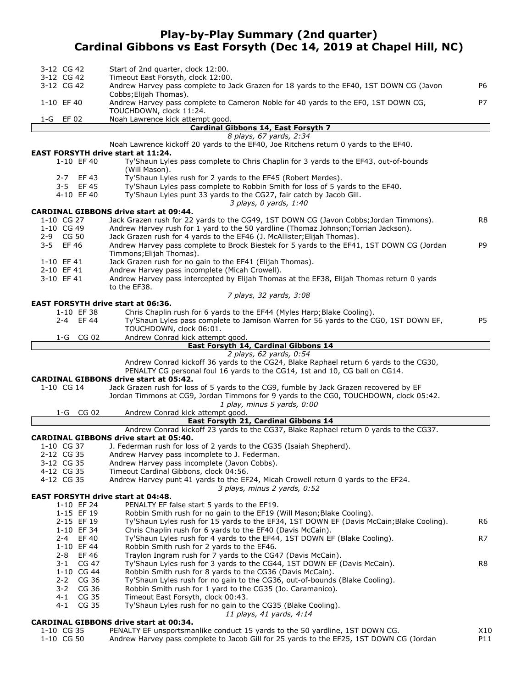### **Play-by-Play Summary (2nd quarter) Cardinal Gibbons vs East Forsyth (Dec 14, 2019 at Chapel Hill, NC)**

| 3-12 CG 42                                | Start of 2nd quarter, clock 12:00.                                                                                                                                   |     |
|-------------------------------------------|----------------------------------------------------------------------------------------------------------------------------------------------------------------------|-----|
| 3-12 CG 42                                | Timeout East Forsyth, clock 12:00.                                                                                                                                   |     |
| 3-12 CG 42                                | Andrew Harvey pass complete to Jack Grazen for 18 yards to the EF40, 1ST DOWN CG (Javon                                                                              | P6  |
| 1-10 EF 40                                | Cobbs; Elijah Thomas).<br>Andrew Harvey pass complete to Cameron Noble for 40 yards to the EF0, 1ST DOWN CG,                                                         | P7  |
|                                           | TOUCHDOWN, clock 11:24.                                                                                                                                              |     |
| 1-G EF 02                                 | Noah Lawrence kick attempt good.                                                                                                                                     |     |
|                                           | Cardinal Gibbons 14, East Forsyth 7<br>8 plays, 67 yards, 2:34                                                                                                       |     |
|                                           | Noah Lawrence kickoff 20 yards to the EF40, Joe Ritchens return 0 yards to the EF40.                                                                                 |     |
| <b>EAST FORSYTH drive start at 11:24.</b> |                                                                                                                                                                      |     |
| 1-10 EF 40                                | Ty'Shaun Lyles pass complete to Chris Chaplin for 3 yards to the EF43, out-of-bounds<br>(Will Mason).                                                                |     |
| 2-7 EF43                                  | Ty'Shaun Lyles rush for 2 yards to the EF45 (Robert Merdes).                                                                                                         |     |
| 3-5 EF45<br>4-10 EF 40                    | Ty'Shaun Lyles pass complete to Robbin Smith for loss of 5 yards to the EF40.<br>Ty'Shaun Lyles punt 33 yards to the CG27, fair catch by Jacob Gill.                 |     |
|                                           | 3 plays, 0 yards, 1:40                                                                                                                                               |     |
|                                           | <b>CARDINAL GIBBONS drive start at 09:44.</b>                                                                                                                        |     |
| 1-10 CG 27                                | Jack Grazen rush for 22 yards to the CG49, 1ST DOWN CG (Javon Cobbs; Jordan Timmons).                                                                                | R8  |
| 1-10 CG 49                                | Andrew Harvey rush for 1 yard to the 50 yardline (Thomaz Johnson; Torrian Jackson).                                                                                  |     |
| 2-9 CG 50                                 | Jack Grazen rush for 4 yards to the EF46 (J. McAllister; Elijah Thomas).                                                                                             |     |
| EF 46<br>3-5                              | Andrew Harvey pass complete to Brock Biestek for 5 yards to the EF41, 1ST DOWN CG (Jordan                                                                            | P9  |
|                                           | Timmons; Elijah Thomas).                                                                                                                                             |     |
| 1-10 EF 41                                | Jack Grazen rush for no gain to the EF41 (Elijah Thomas).                                                                                                            |     |
| 2-10 EF 41<br>3-10 EF 41                  | Andrew Harvey pass incomplete (Micah Crowell).<br>Andrew Harvey pass intercepted by Elijah Thomas at the EF38, Elijah Thomas return 0 yards                          |     |
|                                           | to the EF38.                                                                                                                                                         |     |
|                                           | 7 plays, 32 yards, 3:08                                                                                                                                              |     |
| <b>EAST FORSYTH drive start at 06:36.</b> |                                                                                                                                                                      |     |
| 1-10 EF 38                                | Chris Chaplin rush for 6 yards to the EF44 (Myles Harp; Blake Cooling).                                                                                              |     |
| 2-4 EF 44                                 | Ty'Shaun Lyles pass complete to Jamison Warren for 56 yards to the CG0, 1ST DOWN EF,                                                                                 | P5  |
|                                           | TOUCHDOWN, clock 06:01.                                                                                                                                              |     |
| 1-G CG 02                                 | Andrew Conrad kick attempt good.                                                                                                                                     |     |
|                                           | East Forsyth 14, Cardinal Gibbons 14                                                                                                                                 |     |
|                                           | 2 plays, 62 yards, 0:54                                                                                                                                              |     |
|                                           | Andrew Conrad kickoff 36 yards to the CG24, Blake Raphael return 6 yards to the CG30,<br>PENALTY CG personal foul 16 yards to the CG14, 1st and 10, CG ball on CG14. |     |
|                                           | <b>CARDINAL GIBBONS drive start at 05:42.</b>                                                                                                                        |     |
| 1-10 CG 14                                | Jack Grazen rush for loss of 5 yards to the CG9, fumble by Jack Grazen recovered by EF                                                                               |     |
|                                           | Jordan Timmons at CG9, Jordan Timmons for 9 yards to the CG0, TOUCHDOWN, clock 05:42.<br>1 play, minus 5 yards, 0:00                                                 |     |
| 1-G CG 02                                 | Andrew Conrad kick attempt good.                                                                                                                                     |     |
|                                           | East Forsyth 21, Cardinal Gibbons 14                                                                                                                                 |     |
|                                           | Andrew Conrad kickoff 23 yards to the CG37, Blake Raphael return 0 yards to the CG37.                                                                                |     |
|                                           | <b>CARDINAL GIBBONS drive start at 05:40.</b>                                                                                                                        |     |
| 1-10 CG 37                                | J. Federman rush for loss of 2 yards to the CG35 (Isaiah Shepherd).                                                                                                  |     |
| 2-12 CG 35                                | Andrew Harvey pass incomplete to J. Federman.                                                                                                                        |     |
| 3-12 CG 35                                | Andrew Harvey pass incomplete (Javon Cobbs).                                                                                                                         |     |
| 4-12 CG 35                                | Timeout Cardinal Gibbons, clock 04:56.                                                                                                                               |     |
| 4-12 CG 35                                | Andrew Harvey punt 41 yards to the EF24, Micah Crowell return 0 yards to the EF24.                                                                                   |     |
| <b>EAST FORSYTH drive start at 04:48.</b> | 3 plays, minus 2 yards, 0:52                                                                                                                                         |     |
| 1-10 EF 24                                | PENALTY EF false start 5 yards to the EF19.                                                                                                                          |     |
| 1-15 EF 19                                | Robbin Smith rush for no gain to the EF19 (Will Mason; Blake Cooling).                                                                                               |     |
| 2-15 EF 19                                | Ty'Shaun Lyles rush for 15 yards to the EF34, 1ST DOWN EF (Davis McCain; Blake Cooling).                                                                             | R6  |
| 1-10 EF 34                                | Chris Chaplin rush for 6 yards to the EF40 (Davis McCain).                                                                                                           |     |
| 2-4 EF 40                                 | Ty'Shaun Lyles rush for 4 yards to the EF44, 1ST DOWN EF (Blake Cooling).                                                                                            | R7  |
| 1-10 EF 44                                | Robbin Smith rush for 2 yards to the EF46.                                                                                                                           |     |
| 2-8 EF 46                                 | Traylon Ingram rush for 7 yards to the CG47 (Davis McCain).                                                                                                          |     |
| $3 - 1$<br>CG 47                          | Ty'Shaun Lyles rush for 3 yards to the CG44, 1ST DOWN EF (Davis McCain).                                                                                             | R8  |
| 1-10 CG 44                                | Robbin Smith rush for 8 yards to the CG36 (Davis McCain).                                                                                                            |     |
| $2 - 2$<br>CG 36                          | Ty'Shaun Lyles rush for no gain to the CG36, out-of-bounds (Blake Cooling).                                                                                          |     |
| CG 36<br>$3 - 2$<br>$4 - 1$<br>CG 35      | Robbin Smith rush for 1 yard to the CG35 (Jo. Caramanico).<br>Timeout East Forsyth, clock 00:43.                                                                     |     |
| CG 35<br>4-1                              | Ty'Shaun Lyles rush for no gain to the CG35 (Blake Cooling).                                                                                                         |     |
|                                           | 11 plays, 41 yards, 4:14                                                                                                                                             |     |
|                                           | <b>CARDINAL GIBBONS drive start at 00:34.</b>                                                                                                                        |     |
| 1-10 CG 35                                | PENALTY EF unsportsmanlike conduct 15 yards to the 50 yardline, 1ST DOWN CG.                                                                                         | X10 |
| 1-10 CG 50                                | Andrew Harvey pass complete to Jacob Gill for 25 yards to the EF25, 1ST DOWN CG (Jordan                                                                              | P11 |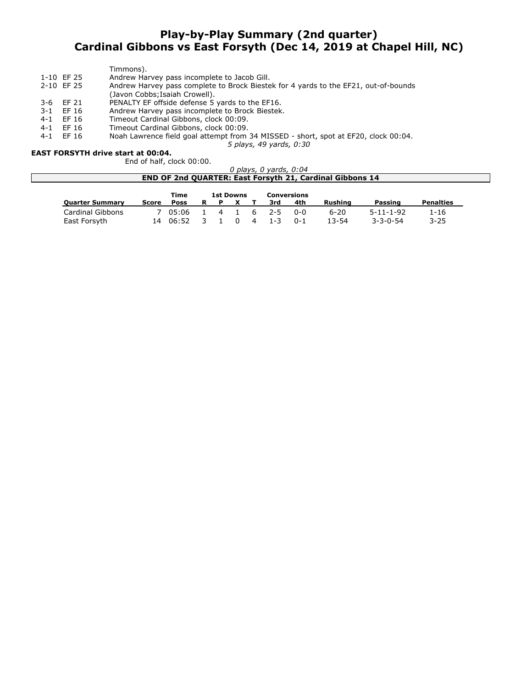### **Play-by-Play Summary (2nd quarter) Cardinal Gibbons vs East Forsyth (Dec 14, 2019 at Chapel Hill, NC)**

|         |            | Timmons).                                                                           |
|---------|------------|-------------------------------------------------------------------------------------|
|         | 1-10 EF 25 | Andrew Harvey pass incomplete to Jacob Gill.                                        |
|         | 2-10 EF 25 | Andrew Harvey pass complete to Brock Biestek for 4 yards to the EF21, out-of-bounds |
|         |            | (Javon Cobbs; Isaiah Crowell).                                                      |
|         | 3-6 EF 21  | PENALTY EF offside defense 5 yards to the EF16.                                     |
| $3 - 1$ | EF 16      | Andrew Harvey pass incomplete to Brock Biestek.                                     |
| $4 - 1$ | EF 16      | Timeout Cardinal Gibbons, clock 00:09.                                              |
| 4-1     | EF 16      | Timeout Cardinal Gibbons, clock 00:09.                                              |
| $4 - 1$ | EF 16      | Noah Lawrence field goal attempt from 34 MISSED - short, spot at EF20, clock 00:04. |

*5 plays, 49 yards, 0:30*

### **EAST FORSYTH drive start at 00:04.**

End of half, clock 00:00.

| ) plavs, 0 vards, 0:04                                          |
|-----------------------------------------------------------------|
| <b>END OF 2nd QUARTER: East Forsyth 21, Cardinal Gibbons 14</b> |
|                                                                 |

|                         |       | Time        |  | 1st Downs  |   |           | Conversions |          |                   |                  |
|-------------------------|-------|-------------|--|------------|---|-----------|-------------|----------|-------------------|------------------|
| <b>Quarter Summary</b>  | Score | <b>Poss</b> |  |            |   | 3rd       | 4th         | Rushina  | Passing           | <b>Penalties</b> |
| <b>Cardinal Gibbons</b> |       | 7 05:06     |  |            |   | 4 1 6 2-5 | በ-በ         | $6 - 20$ | $5 - 11 - 1 - 92$ | 1-16             |
| East Forsyth            |       | 06:52       |  | $^{\circ}$ | 4 | $1 - 3$   | $0 - 1$     | 13-54    | $3 - 3 - 0 - 54$  | $3 - 25$         |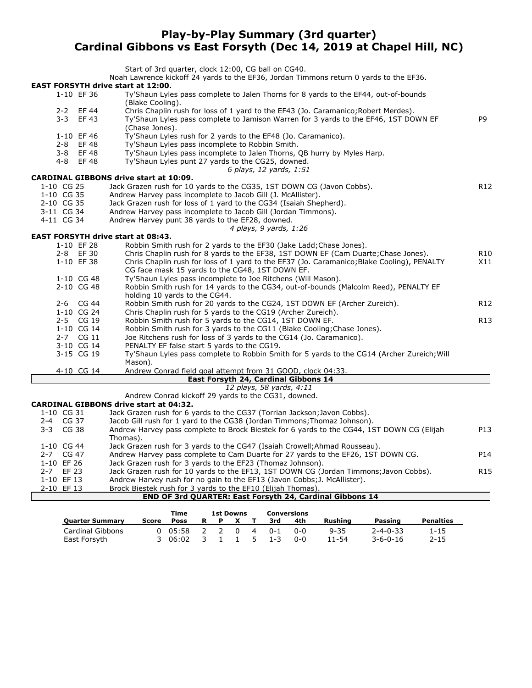### **Play-by-Play Summary (3rd quarter) Cardinal Gibbons vs East Forsyth (Dec 14, 2019 at Chapel Hill, NC)**

|                                                         | Start of 3rd quarter, clock 12:00, CG ball on CG40.                                                                                |                 |
|---------------------------------------------------------|------------------------------------------------------------------------------------------------------------------------------------|-----------------|
|                                                         | Noah Lawrence kickoff 24 yards to the EF36, Jordan Timmons return 0 yards to the EF36.                                             |                 |
| <b>EAST FORSYTH drive start at 12:00.</b><br>1-10 EF 36 | Ty'Shaun Lyles pass complete to Jalen Thorns for 8 yards to the EF44, out-of-bounds                                                |                 |
|                                                         | (Blake Cooling).                                                                                                                   |                 |
| 2-2 EF 44                                               | Chris Chaplin rush for loss of 1 yard to the EF43 (Jo. Caramanico; Robert Merdes).                                                 |                 |
| $3 - 3$<br>EF 43                                        | Ty'Shaun Lyles pass complete to Jamison Warren for 3 yards to the EF46, 1ST DOWN EF                                                | P <sub>9</sub>  |
|                                                         | (Chase Jones).                                                                                                                     |                 |
| 1-10 EF 46                                              | Ty'Shaun Lyles rush for 2 yards to the EF48 (Jo. Caramanico).                                                                      |                 |
| $2 - 8$<br>EF 48                                        | Ty'Shaun Lyles pass incomplete to Robbin Smith.                                                                                    |                 |
| 3-8 EF48                                                | Ty'Shaun Lyles pass incomplete to Jalen Thorns, QB hurry by Myles Harp.                                                            |                 |
| 4-8 EF48                                                | Ty'Shaun Lyles punt 27 yards to the CG25, downed.                                                                                  |                 |
|                                                         | 6 plays, 12 yards, 1:51                                                                                                            |                 |
|                                                         | <b>CARDINAL GIBBONS drive start at 10:09.</b>                                                                                      |                 |
| 1-10 CG 25<br>1-10 CG 35                                | Jack Grazen rush for 10 yards to the CG35, 1ST DOWN CG (Javon Cobbs).                                                              | R <sub>12</sub> |
| 2-10 CG 35                                              | Andrew Harvey pass incomplete to Jacob Gill (J. McAllister).<br>Jack Grazen rush for loss of 1 yard to the CG34 (Isaiah Shepherd). |                 |
| 3-11 CG 34                                              | Andrew Harvey pass incomplete to Jacob Gill (Jordan Timmons).                                                                      |                 |
| 4-11 CG 34                                              | Andrew Harvey punt 38 yards to the EF28, downed.                                                                                   |                 |
|                                                         | 4 plays, 9 yards, 1:26                                                                                                             |                 |
| <b>EAST FORSYTH drive start at 08:43.</b>               |                                                                                                                                    |                 |
| 1-10 EF 28                                              | Robbin Smith rush for 2 yards to the EF30 (Jake Ladd; Chase Jones).                                                                |                 |
| 2-8 EF 30                                               | Chris Chaplin rush for 8 yards to the EF38, 1ST DOWN EF (Cam Duarte; Chase Jones).                                                 | R <sub>10</sub> |
| 1-10 EF 38                                              | Chris Chaplin rush for loss of 1 yard to the EF37 (Jo. Caramanico; Blake Cooling), PENALTY                                         | X11             |
|                                                         | CG face mask 15 yards to the CG48, 1ST DOWN EF.                                                                                    |                 |
| 1-10 CG 48                                              | Ty'Shaun Lyles pass incomplete to Joe Ritchens (Will Mason).                                                                       |                 |
| 2-10 CG 48                                              | Robbin Smith rush for 14 yards to the CG34, out-of-bounds (Malcolm Reed), PENALTY EF                                               |                 |
|                                                         | holding 10 yards to the CG44.                                                                                                      |                 |
| 2-6 CG 44                                               | Robbin Smith rush for 20 yards to the CG24, 1ST DOWN EF (Archer Zureich).                                                          | R <sub>12</sub> |
| 1-10 CG 24                                              | Chris Chaplin rush for 5 yards to the CG19 (Archer Zureich).                                                                       |                 |
| 2-5 CG 19                                               | Robbin Smith rush for 5 yards to the CG14, 1ST DOWN EF.                                                                            | R13             |
| 1-10 CG 14                                              | Robbin Smith rush for 3 yards to the CG11 (Blake Cooling; Chase Jones).                                                            |                 |
| 2-7 CG 11                                               | Joe Ritchens rush for loss of 3 yards to the CG14 (Jo. Caramanico).                                                                |                 |
| 3-10 CG 14                                              | PENALTY EF false start 5 yards to the CG19.                                                                                        |                 |
| 3-15 CG 19                                              | Ty'Shaun Lyles pass complete to Robbin Smith for 5 yards to the CG14 (Archer Zureich; Will                                         |                 |
| 4-10 CG 14                                              | Mason).<br>Andrew Conrad field goal attempt from 31 GOOD, clock 04:33.                                                             |                 |
|                                                         | East Forsyth 24, Cardinal Gibbons 14                                                                                               |                 |
|                                                         | 12 plays, 58 yards, 4:11                                                                                                           |                 |
|                                                         | Andrew Conrad kickoff 29 yards to the CG31, downed.                                                                                |                 |
|                                                         | <b>CARDINAL GIBBONS drive start at 04:32.</b>                                                                                      |                 |
| 1-10 CG 31                                              | Jack Grazen rush for 6 yards to the CG37 (Torrian Jackson; Javon Cobbs).                                                           |                 |
| 2-4 CG 37                                               | Jacob Gill rush for 1 yard to the CG38 (Jordan Timmons; Thomaz Johnson).                                                           |                 |
| CG 38<br>3-3                                            | Andrew Harvey pass complete to Brock Biestek for 6 yards to the CG44, 1ST DOWN CG (Elijah                                          | P13             |
|                                                         | Thomas).                                                                                                                           |                 |
| 1-10 CG 44                                              | Jack Grazen rush for 3 yards to the CG47 (Isaiah Crowell; Ahmad Rousseau).                                                         |                 |
| 2-7 CG 47                                               | Andrew Harvey pass complete to Cam Duarte for 27 yards to the EF26, 1ST DOWN CG.                                                   | P <sub>14</sub> |
| 1-10 EF 26                                              | Jack Grazen rush for 3 yards to the EF23 (Thomaz Johnson).                                                                         |                 |
| 2-7 EF 23                                               | Jack Grazen rush for 10 yards to the EF13, 1ST DOWN CG (Jordan Timmons; Javon Cobbs).                                              | R <sub>15</sub> |
| 1-10 EF 13                                              | Andrew Harvey rush for no gain to the EF13 (Javon Cobbs; J. McAllister).                                                           |                 |
| 2-10 EF 13                                              | Brock Biestek rush for 3 yards to the EF10 (Elijah Thomas).<br>END OF 3rd QUARTER: East Forsyth 24, Cardinal Gibbons 14            |                 |
|                                                         |                                                                                                                                    |                 |

|                         |       | Time            | <b>1st Downs</b> |  |       |                | <b>Conversions</b> |     |          |                  |                  |
|-------------------------|-------|-----------------|------------------|--|-------|----------------|--------------------|-----|----------|------------------|------------------|
| <b>Quarter Summary</b>  | Score | <b>Poss</b>     | R                |  |       |                | 3rd                | 4th | Rushina  | Passing          | <b>Penalties</b> |
| <b>Cardinal Gibbons</b> |       | $0 \quad 05:58$ | 2                |  | . റ   | $\overline{4}$ | $0 - 1$            | ი-ი | $9 - 35$ | $2 - 4 - 0 - 33$ | 1-15             |
| East Forsyth            |       | 3 06:02         | 3                |  | 1 1 5 |                | $1 - 3$            | ი-ი | 11-54    | $3 - 6 - 0 - 16$ | $2 - 15$         |